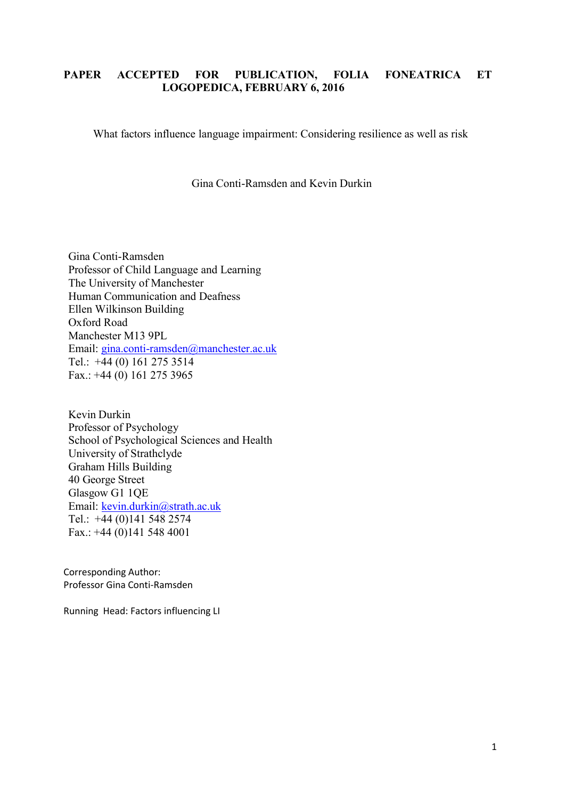# **PAPER ACCEPTED FOR PUBLICATION, FOLIA FONEATRICA ET LOGOPEDICA, FEBRUARY 6, 2016**

What factors influence language impairment: Considering resilience as well as risk

Gina Conti-Ramsden and Kevin Durkin

Gina Conti-Ramsden Professor of Child Language and Learning The University of Manchester Human Communication and Deafness Ellen Wilkinson Building Oxford Road Manchester M13 9PL Email: [gina.conti-ramsden@manchester.ac.uk](mailto:gina.conti-ramsden@manchester.ac.uk) Tel.: +44 (0) 161 275 3514 Fax.: +44 (0) 161 275 3965

Kevin Durkin Professor of Psychology School of Psychological Sciences and Health University of Strathclyde Graham Hills Building 40 George Street Glasgow G1 1QE Email: [kevin.durkin@strath.ac.uk](mailto:kevin.durkin@strath.ac.uk) Tel.: +44 (0)141 548 2574 Fax.: +44 (0)141 548 4001

Corresponding Author: Professor Gina Conti-Ramsden

Running Head: Factors influencing LI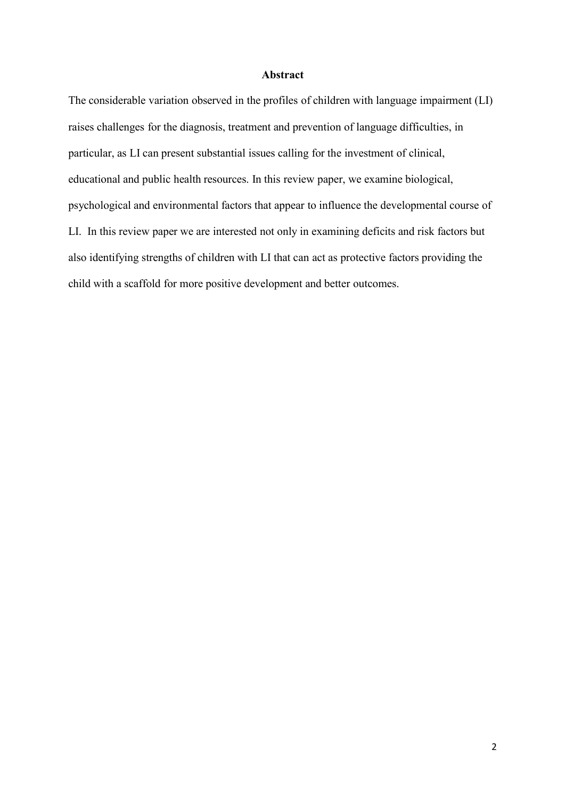### **Abstract**

The considerable variation observed in the profiles of children with language impairment (LI) raises challenges for the diagnosis, treatment and prevention of language difficulties, in particular, as LI can present substantial issues calling for the investment of clinical, educational and public health resources. In this review paper, we examine biological, psychological and environmental factors that appear to influence the developmental course of LI. In this review paper we are interested not only in examining deficits and risk factors but also identifying strengths of children with LI that can act as protective factors providing the child with a scaffold for more positive development and better outcomes.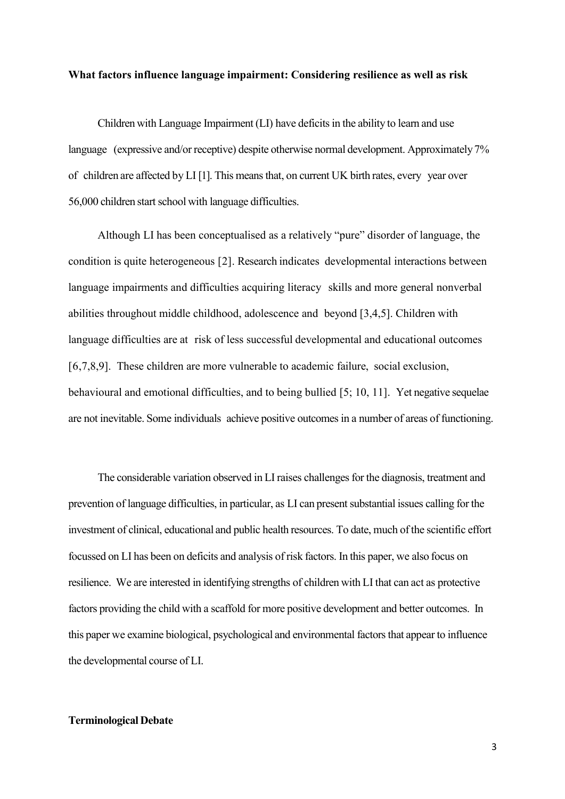#### **What factors influence language impairment: Considering resilience as well as risk**

Children with Language Impairment (LI) have deficits in the ability to learn and use language (expressive and/or receptive) despite otherwise normal development. Approximately 7% of children are affected by LI [1]. This meansthat, on current UK birth rates, every year over 56,000 children start school with language difficulties.

Although LI has been conceptualised as a relatively "pure" disorder of language, the condition is quite heterogeneous [2]. Research indicates developmental interactions between language impairments and difficulties acquiring literacy skills and more general nonverbal abilities throughout middle childhood, adolescence and beyond [3,4,5]. Children with language difficulties are at risk of less successful developmental and educational outcomes [6,7,8,9]. These children are more vulnerable to academic failure, social exclusion, behavioural and emotional difficulties, and to being bullied [5; 10, 11]. Yet negative sequelae are not inevitable. Some individuals achieve positive outcomes in a number of areas of functioning.

The considerable variation observed in LI raises challenges for the diagnosis, treatment and prevention of language difficulties, in particular, as LI can present substantial issues calling for the investment of clinical, educational and public health resources. To date, much of the scientific effort focussed on LI has been on deficits and analysis of risk factors. In this paper, we also focus on resilience. We are interested in identifying strengths of children with LI that can act as protective factors providing the child with a scaffold for more positive development and better outcomes. In this paper we examine biological, psychological and environmental factors that appear to influence the developmental course of LI.

## **Terminological Debate**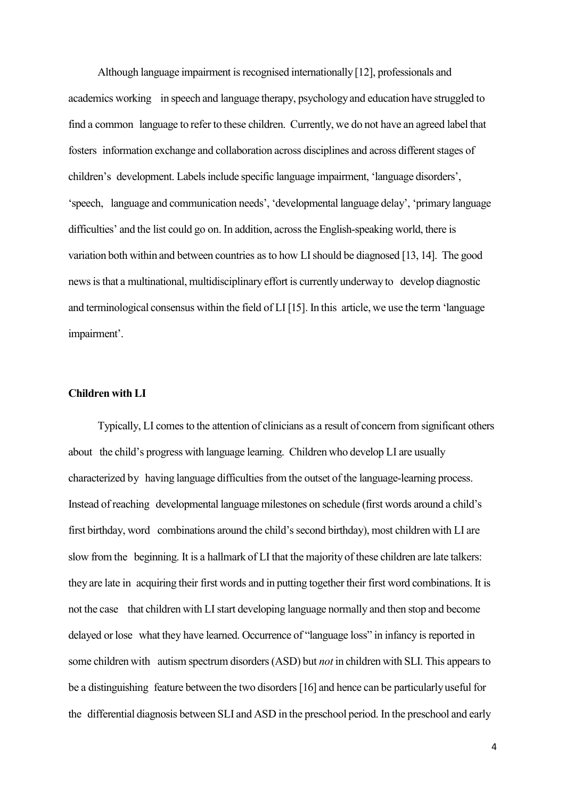Although language impairment is recognised internationally [12], professionals and academics working in speech and language therapy, psychologyand education have struggled to find a common language to refer to these children. Currently, we do not have an agreed label that fosters information exchange and collaboration across disciplines and across different stages of children's development. Labelsinclude specific language impairment, 'language disorders', 'speech, language and communication needs', 'developmental language delay', 'primary language difficulties' and the list could go on. In addition, across the English-speaking world, there is variation both within and between countries as to how LIshould be diagnosed [13, 14]. The good news is that a multinational, multidisciplinary effort is currently underway to develop diagnostic and terminological consensus within the field of LI [15]. In this article, we use the term 'language impairment'.

## **Children withLI**

Typically, LI comes to the attention of clinicians as a result of concern from significant others about the child's progress with language learning. Children who develop LI are usually characterized by having language difficulties from the outset of the language-learning process. Instead of reaching developmental language milestones on schedule (first words around a child's first birthday, word combinations around the child'ssecond birthday), most children with LI are slow from the beginning. It is a hallmark of LI that the majority of these children are late talkers: they are late in acquiring their first words and in putting together their first word combinations. It is not the case that children with LIstart developing language normally and then stop and become delayed or lose what they have learned. Occurrence of "language loss" in infancy is reported in some children with autism spectrum disorders (ASD) but *not* in children with SLI. This appears to be a distinguishing feature between the two disorders [16] and hence can be particularlyuseful for the differential diagnosis between SLI and ASD in the preschool period. In the preschool and early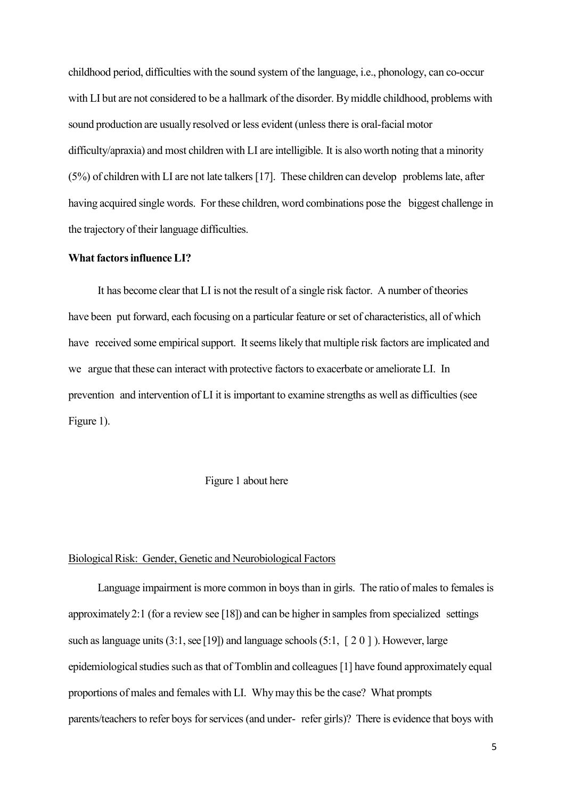childhood period, difficulties with the sound system of the language, i.e., phonology, can co-occur with LI but are not considered to be a hallmark of the disorder. By middle childhood, problems with sound production are usually resolved or less evident (unless there is oral-facial motor difficulty/apraxia) and most children with LI are intelligible. It is also worth noting that a minority (5%) of children with LI are not late talkers[17]. These children can develop problemslate, after having acquired single words. For these children, word combinations pose the biggest challenge in the trajectory of their language difficulties.

## **What factorsinfluence LI?**

It has become clear that LI is not the result of a single risk factor. A number of theories have been put forward, each focusing on a particular feature or set of characteristics, all of which have received some empirical support. It seems likely that multiple risk factors are implicated and we argue that these can interact with protective factors to exacerbate or ameliorate LI. In prevention and intervention of LI it is important to examine strengths as well as difficulties (see Figure 1).

## Figure 1 about here

#### Biological Risk: Gender, Genetic and Neurobiological Factors

Language impairment is more common in boys than in girls. The ratio of males to females is approximately 2:1 (for a review see [18]) and can be higher in samples from specialized settings such as language units  $(3:1, \text{see } [19])$  and language schools  $(5:1, [2 0])$ . However, large epidemiological studies such as that of Tomblin and colleagues [1] have found approximately equal proportions of males and females with LI. Whymay this be the case? What prompts parents/teachers to refer boys for services (and under- refer girls)? There is evidence that boys with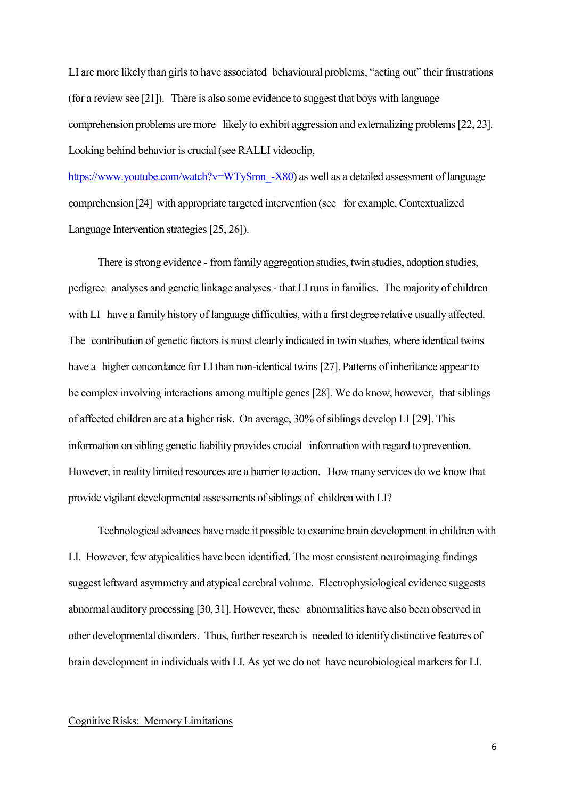LI are more likely than girls to have associated behavioural problems, "acting out" their frustrations (for a review see [21]). There is also some evidence to suggest that boys with language comprehension problems are more likely to exhibit aggression and externalizing problems[22, 23]. Looking behind behavior is crucial(see RALLI videoclip,

https://www.youtube.com/watch?v=WTySmn -X80) as well as a detailed assessment of language comprehension [24] with appropriate targeted intervention (see for example, Contextualized Language Intervention strategies [25, 26]).

There is strong evidence - from family aggregation studies, twin studies, adoption studies, pedigree analyses and genetic linkage analyses - that LI runs in families. The majority of children with LI have a family history of language difficulties, with a first degree relative usually affected. The contribution of genetic factors is most clearly indicated in twin studies, where identical twins have a higher concordance for LI than non-identical twins [27]. Patterns of inheritance appear to be complex involving interactions among multiple genes [28]. We do know, however, that siblings of affected children are at a higher risk. On average, 30% of siblings develop LI [29]. This information on sibling genetic liability provides crucial information with regard to prevention. However, in reality limited resources are a barrier to action. How manyservices do we know that provide vigilant developmental assessments of siblings of children with LI?

Technological advances have made it possible to examine brain development in children with LI. However, few atypicalities have been identified. The most consistent neuroimaging findings suggest leftward asymmetry and atypical cerebral volume. Electrophysiological evidence suggests abnormal auditory processing [30, 31]. However, these abnormalities have also been observed in other developmental disorders. Thus, further research is needed to identify distinctive features of brain development in individuals with LI. As yet we do not have neurobiological markers for LI.

# Cognitive Risks: Memory Limitations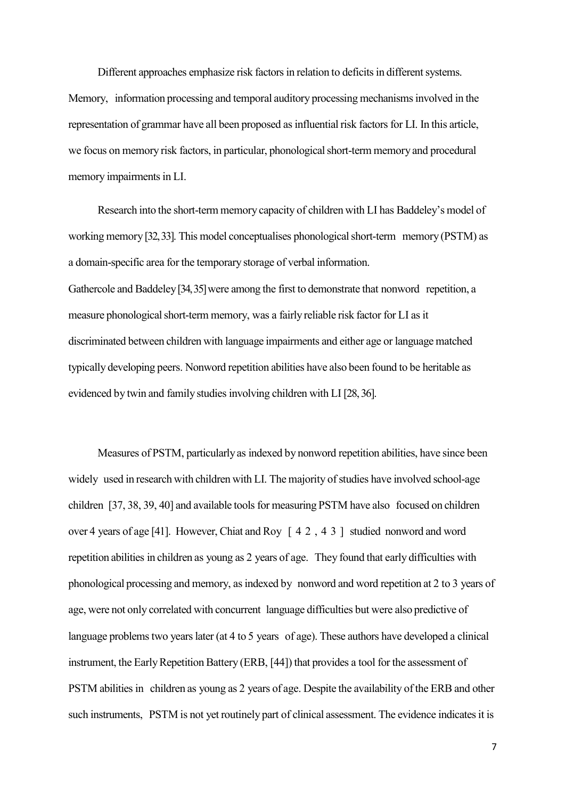Different approaches emphasize risk factors in relation to deficits in different systems. Memory, information processing and temporal auditory processing mechanisms involved in the representation of grammar have all been proposed as influential risk factors for LI. In this article, we focus on memory risk factors, in particular, phonological short-term memory and procedural memory impairments in LI.

Research into the short-term memory capacity of children with LI has Baddeley's model of working memory [32, 33]. This model conceptualises phonological short-term memory (PSTM) as a domain-specific area for the temporary storage of verbal information. Gathercole and Baddeley [34, 35] were among the first to demonstrate that nonword repetition, a measure phonological short-term memory, was a fairly reliable risk factor for LI as it discriminated between children with language impairments and either age or language matched typically developing peers. Nonword repetition abilities have also been found to be heritable as evidenced by twin and family studies involving children with LI [28, 36].

Measures of PSTM, particularlyas indexed by nonword repetition abilities, have since been widely used in research with children with LI. The majority of studies have involved school-age children [37, 38, 39, 40] and available tools for measuring PSTM have also focused on children over 4 years of age [41]. However, Chiat and Roy [ 42,43 ] studied nonword and word repetition abilities in children as young as 2 years of age. They found that early difficulties with phonological processing and memory, asindexed by nonword and word repetition at 2 to 3 years of age, were not only correlated with concurrent language difficulties but were also predictive of language problems two years later (at 4 to 5 years of age). These authors have developed a clinical instrument, the Early Repetition Battery (ERB, [44]) that provides a tool for the assessment of PSTM abilities in children as young as 2 years of age. Despite the availability of the ERB and other such instruments, PSTM is not yet routinely part of clinical assessment. The evidence indicates it is

7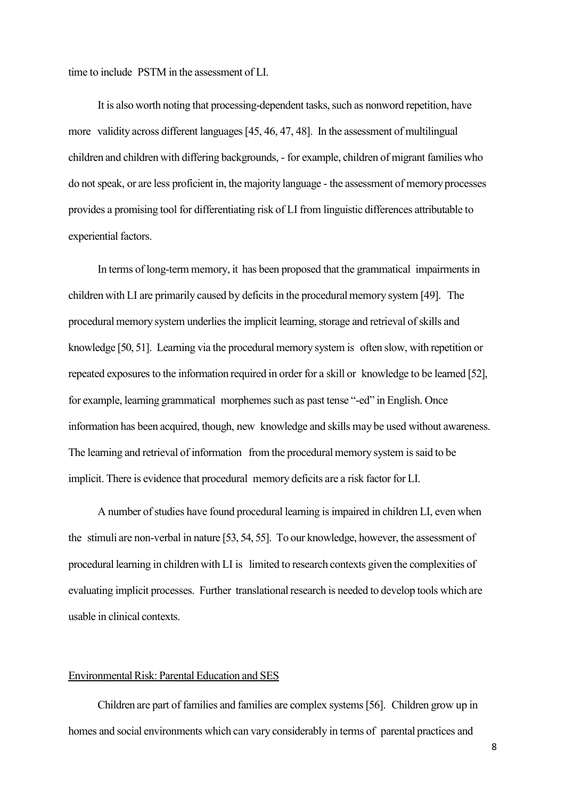time to include PSTM in the assessment of LI.

It is also worth noting that processing-dependent tasks, such as nonword repetition, have more validity across different languages [45, 46, 47, 48]. In the assessment of multilingual children and children with differing backgrounds, - for example, children of migrant families who do notspeak, or are less proficient in, the majority language - the assessment of memoryprocesses provides a promising tool for differentiating risk of LI from linguistic differences attributable to experiential factors.

In terms of long-term memory, it has been proposed that the grammatical impairments in children with LI are primarily caused by deficits in the procedural memory system [49]. The procedural memory system underlies the implicit learning, storage and retrieval of skills and knowledge [50, 51]. Learning via the procedural memory system is often slow, with repetition or repeated exposures to the information required in order for a skill or knowledge to be learned [52], for example, learning grammatical morphemes such as past tense "-ed" in English. Once information has been acquired, though, new knowledge and skills may be used without awareness. The learning and retrieval of information from the procedural memory system is said to be implicit. There is evidence that procedural memory deficits are a risk factor for LI.

A number of studies have found procedural learning is impaired in children LI, even when the stimuli are non-verbal in nature [53, 54, 55]. To our knowledge, however, the assessment of procedural learning in children with LI is limited to research contexts given the complexities of evaluating implicit processes. Further translational research is needed to develop tools which are usable in clinical contexts.

## Environmental Risk: Parental Education and SES

Children are part of families and families are complex systems[56]. Children grow up in homes and social environments which can vary considerably in terms of parental practices and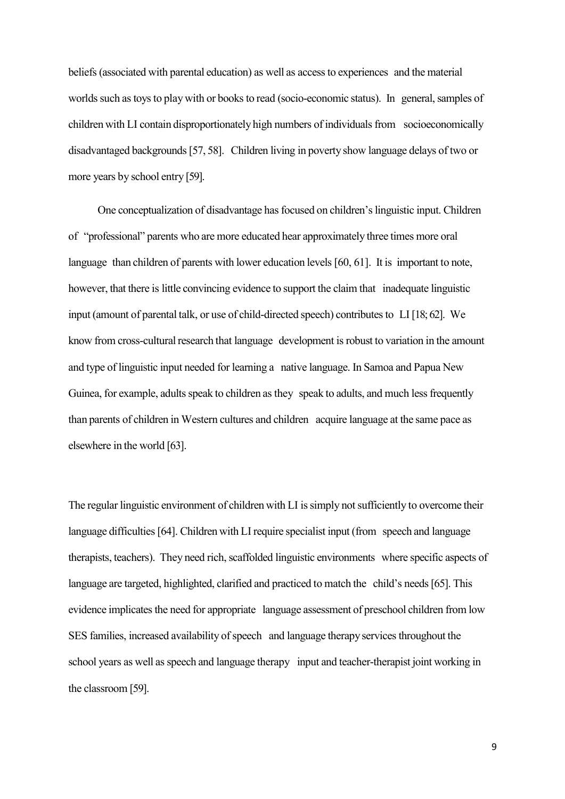beliefs(associated with parental education) as well as accessto experiences and the material worlds such as toys to play with or books to read (socio-economic status). In general, samples of children with LI contain disproportionately high numbers of individuals from socioeconomically disadvantaged backgrounds[57, 58]. Children living in poverty show language delays of two or more years by school entry [59].

One conceptualization of disadvantage has focused on children's linguistic input. Children of "professional" parents who are more educated hear approximately three times more oral language than children of parents with lower education levels [60, 61]. It is important to note, however, that there is little convincing evidence to support the claim that inadequate linguistic input (amount of parental talk, or use of child-directed speech) contributesto LI [18; 62]. We know from cross-cultural research that language development is robust to variation in the amount and type of linguistic input needed for learning a native language. In Samoa and Papua New Guinea, for example, adults speak to children as they speak to adults, and much less frequently than parents of children in Western cultures and children acquire language at the same pace as elsewhere in the world [63].

The regular linguistic environment of children with LI is simply not sufficiently to overcome their language difficulties [64]. Children with LI require specialist input (from speech and language therapists, teachers). They need rich, scaffolded linguistic environments where specific aspects of language are targeted, highlighted, clarified and practiced to match the child's needs [65]. This evidence implicates the need for appropriate language assessment of preschool children from low SES families, increased availability of speech and language therapy services throughout the school years as well as speech and language therapy input and teacher-therapist joint working in the classroom [59].

9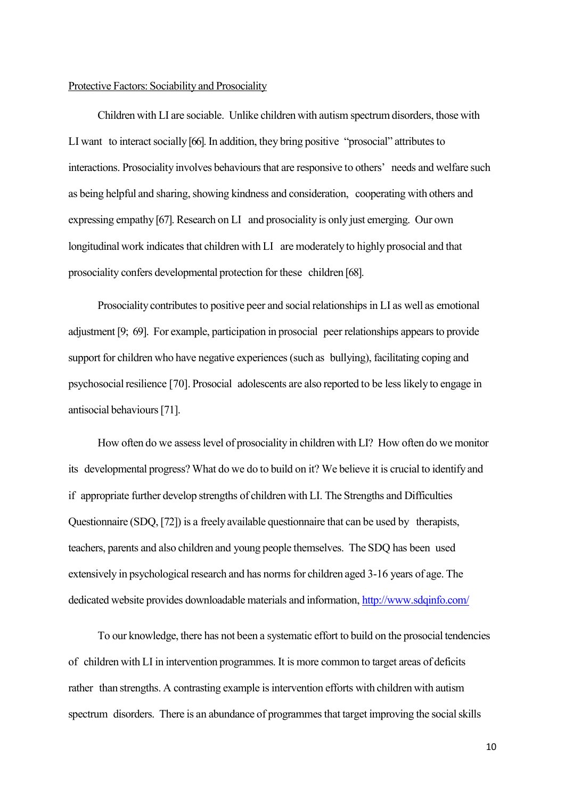#### Protective Factors: Sociability and Prosociality

Children with LI are sociable. Unlike children with autism spectrumdisorders, those with LI want to interact socially [66]. In addition, they bring positive "prosocial" attributes to interactions. Prosociality involves behaviours that are responsive to others' needs and welfare such as being helpful and sharing, showing kindness and consideration, cooperating with others and expressing empathy [67]. Research on LI and prosociality is only just emerging. Our own longitudinal work indicates that children with LI are moderately to highly prosocial and that prosociality confers developmental protection for these children [68].

Prosociality contributes to positive peer and social relationships in LI as well as emotional adjustment [9; 69]. For example, participation in prosocial peer relationships appears to provide support for children who have negative experiences (such as bullying), facilitating coping and psychosocial resilience [70]. Prosocial adolescents are also reported to be less likely to engage in antisocial behaviours[71].

How often do we assess level of prosociality in children with LI? How often do we monitor its developmental progress? What do we do to build on it? We believe it is crucial to identify and if appropriate further develop strengths of children with LI. The Strengths and Difficulties Questionnaire (SDQ, [72]) is a freely available questionnaire that can be used by therapists, teachers, parents and also children and young people themselves. The SDQ has been used extensively in psychological research and has norms for children aged 3-16 years of age. The dedicated website provides downloadable materials and information, <http://www.sdqinfo.com/>

To our knowledge, there has not been a systematic effort to build on the prosocial tendencies of children with LI in intervention programmes. It is more common to target areas of deficits rather than strengths. A contrasting example is intervention efforts with children with autism spectrum disorders. There is an abundance of programmes that target improving the social skills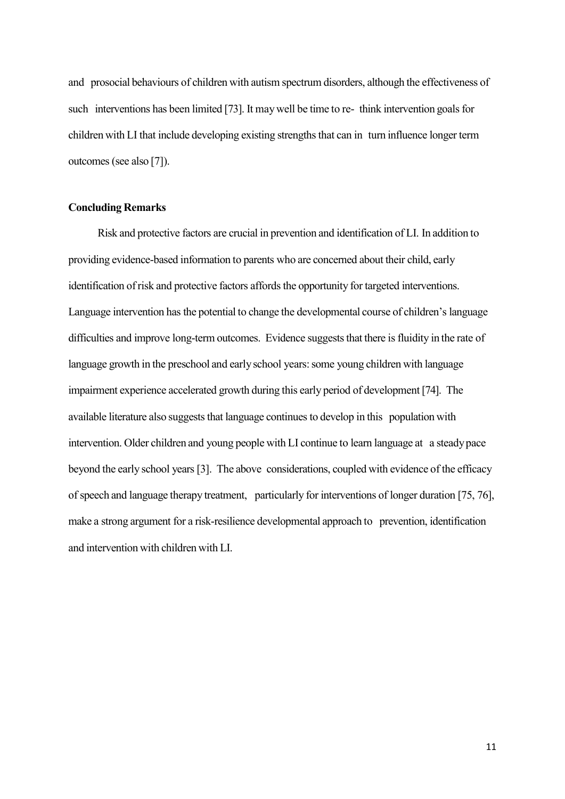and prosocial behaviours of children with autism spectrum disorders, although the effectiveness of such interventions has been limited [73]. It may well be time to re- think intervention goals for children with LI that include developing existing strengthsthat can in turn influence longer term outcomes (see also [7]).

## **Concluding Remarks**

Risk and protective factors are crucial in prevention and identification of LI. In addition to providing evidence-based information to parents who are concerned about their child, early identification of risk and protective factors affords the opportunity for targeted interventions. Language intervention has the potential to change the developmental course of children's language difficulties and improve long-term outcomes. Evidence suggests that there is fluidity in the rate of language growth in the preschool and early school years: some young children with language impairment experience accelerated growth during this early period of development [74]. The available literature also suggests that language continues to develop in this population with intervention. Older children and young people with LI continue to learn language at a steadypace beyond the early school years[3]. The above considerations, coupled with evidence of the efficacy of speech and language therapy treatment, particularly for interventions of longer duration [75, 76], make a strong argument for a risk-resilience developmental approach to prevention, identification and intervention with children with LI.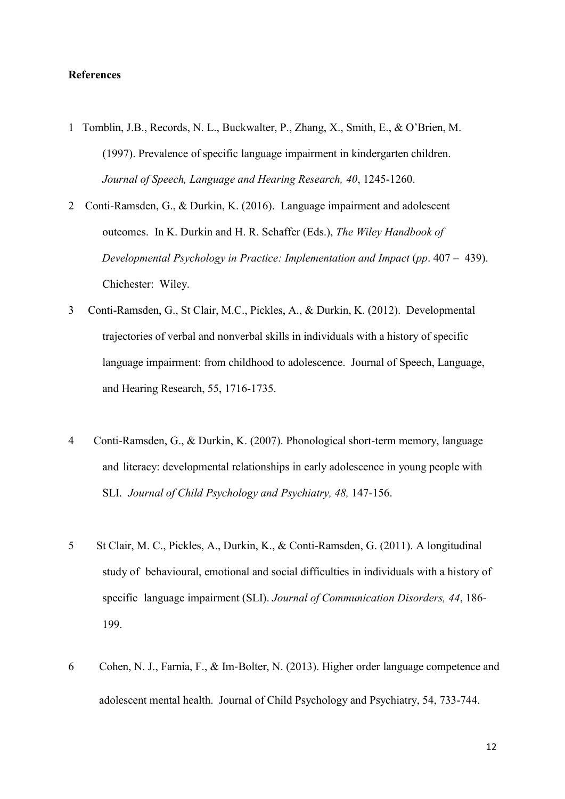## **References**

- 1 Tomblin, J.B., Records, N. L., Buckwalter, P., Zhang, X., Smith, E., & O'Brien, M. (1997). Prevalence of specific language impairment in kindergarten children. *Journal of Speech, Language and Hearing Research, 40*, 1245-1260.
- 2 Conti-Ramsden, G., & Durkin, K. (2016). Language impairment and adolescent outcomes. In K. Durkin and H. R. Schaffer (Eds.), *The Wiley Handbook of Developmental Psychology in Practice: Implementation and Impact* (*pp*. 407 – 439). Chichester: Wiley.
- 3 Conti-Ramsden, G., St Clair, M.C., Pickles, A., & Durkin, K. (2012). Developmental trajectories of verbal and nonverbal skills in individuals with a history of specific language impairment: from childhood to adolescence. Journal of Speech, Language, and Hearing Research, 55, 1716-1735.
- 4 Conti-Ramsden, G., & Durkin, K. (2007). Phonological short-term memory, language and literacy: developmental relationships in early adolescence in young people with SLI. *Journal of Child Psychology and Psychiatry, 48,* 147-156.
- 5 St Clair, M. C., Pickles, A., Durkin, K., & Conti-Ramsden, G. (2011). A longitudinal study of behavioural, emotional and social difficulties in individuals with a history of specific language impairment (SLI). *Journal of Communication Disorders, 44*, 186- 199.
- 6 Cohen, N. J., Farnia, F., & Im‐Bolter, N. (2013). Higher order language competence and adolescent mental health. Journal of Child Psychology and Psychiatry, 54, 733-744.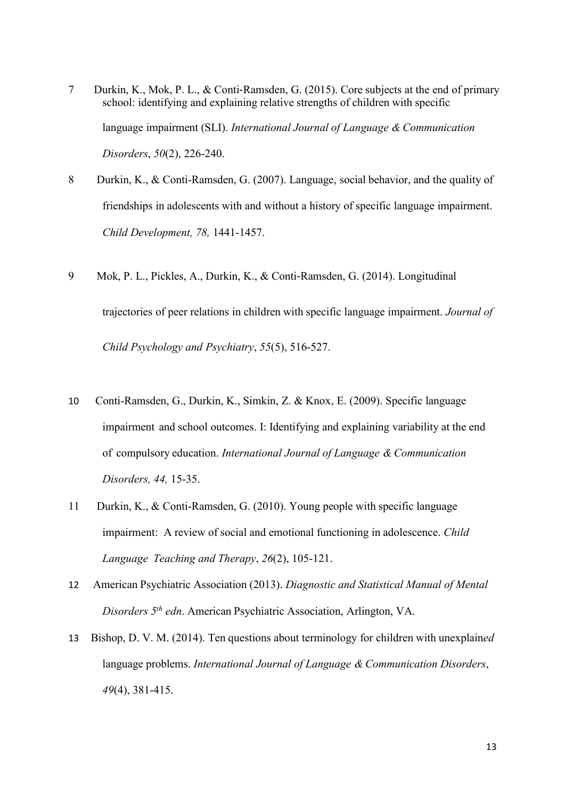- 7 Durkin, K., Mok, P. L., & Conti‐Ramsden, G. (2015). Core subjects at the end of primary school: identifying and explaining relative strengths of children with specific language impairment (SLI). *International Journal of Language & Communication Disorders*, *50*(2), 226-240.
- 8 Durkin, K., & Conti-Ramsden, G. (2007). Language, social behavior, and the quality of friendships in adolescents with and without a history of specific language impairment. *Child Development, 78,* 1441-1457.
- 9 Mok, P. L., Pickles, A., Durkin, K., & Conti‐Ramsden, G. (2014). Longitudinal trajectories of peer relations in children with specific language impairment. *Journal of Child Psychology and Psychiatry*, *55*(5), 516-527.
- 10 Conti-Ramsden, G., Durkin, K., Simkin, Z. & Knox, E. (2009). Specific language impairment and school outcomes. I: Identifying and explaining variability at the end of compulsory education. *International Journal of Language & Communication Disorders, 44,* 15-35.
- 11 Durkin, K., & Conti-Ramsden, G. (2010). Young people with specific language impairment: A review of social and emotional functioning in adolescence. *Child Language Teaching and Therapy*, *26*(2), 105-121.
- 12 American Psychiatric Association (2013). *Diagnostic and Statistical Manual of Mental Disorders 5 th edn*. American Psychiatric Association, Arlington, VA.
- 13 Bishop, D. V. M. (2014). Ten questions about terminology for children with unexplain*ed* language problems. *International Journal of Language & Communication Disorders*, *49*(4), 381-415.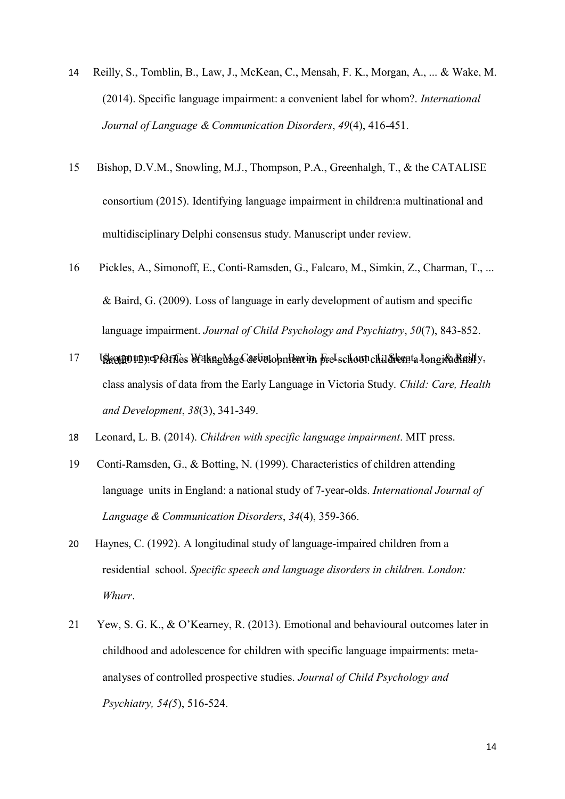- 14 Reilly, S., Tomblin, B., Law, J., McKean, C., Mensah, F. K., Morgan, A., ... & Wake, M. (2014). Specific language impairment: a convenient label for whom?. *International Journal of Language & Communication Disorders*, *49*(4), 416-451.
- 15 Bishop, D.V.M., Snowling, M.J., Thompson, P.A., Greenhalgh, T., & the CATALISE consortium (2015). Identifying language impairment in children:a multinational and multidisciplinary Delphi consensus study. Manuscript under review.
- 16 Pickles, A., Simonoff, E., Conti‐Ramsden, G., Falcaro, M., Simkin, Z., Charman, T., ... & Baird, G. (2009). Loss of language in early development of autism and specific language impairment. *Journal of Child Psychology and Psychiatry*, *50*(7), 843-852.
- 17 Ukongoupne Poffes Wake Mas Carlindon Perunt Fre-schounchildrena Jonsica Reilly, class analysis of data from the Early Language in Victoria Study. *Child: Care, Health and Development*, *38*(3), 341-349.
- 18 Leonard, L. B. (2014). *Children with specific language impairment*. MIT press.
- 19 Conti-Ramsden, G., & Botting, N. (1999). Characteristics of children attending language units in England: a national study of 7-year-olds. *International Journal of Language & Communication Disorders*, *34*(4), 359-366.
- 20 Haynes, C. (1992). A longitudinal study of language-impaired children from a residential school. *Specific speech and language disorders in children. London: Whurr*.
- 21 Yew, S. G. K., & O'Kearney, R. (2013). Emotional and behavioural outcomes later in childhood and adolescence for children with specific language impairments: meta‐ analyses of controlled prospective studies. *Journal of Child Psychology and Psychiatry, 54(5*), 516-524.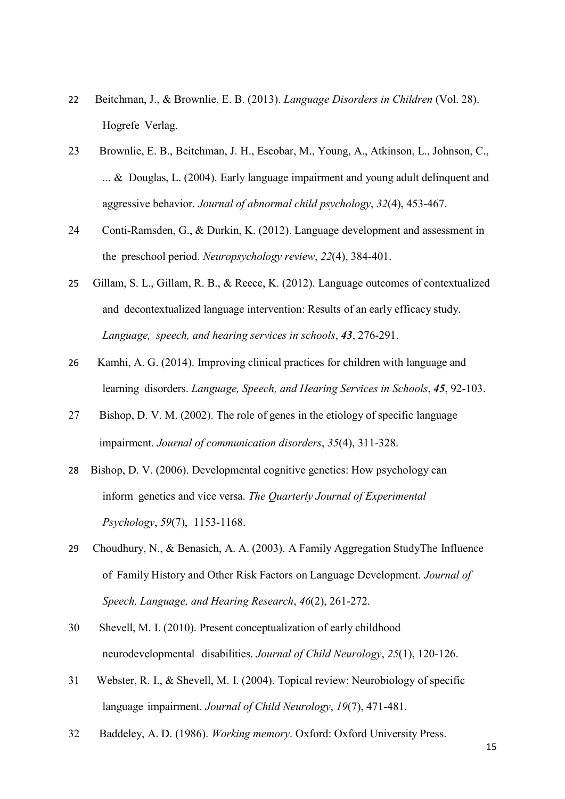- 22 Beitchman, J., & Brownlie, E. B. (2013). *Language Disorders in Children* (Vol. 28). Hogrefe Verlag.
- 23 Brownlie, E. B., Beitchman, J. H., Escobar, M., Young, A., Atkinson, L., Johnson, C., ... & Douglas, L. (2004). Early language impairment and young adult delinquent and aggressive behavior. *Journal of abnormal child psychology*, *32*(4), 453-467.
- 24 Conti-Ramsden, G., & Durkin, K. (2012). Language development and assessment in the preschool period. *Neuropsychology review*, *22*(4), 384-401.
- 25 Gillam, S. L., Gillam, R. B., & Reece, K. (2012). Language outcomes of contextualized and decontextualized language intervention: Results of an early efficacy study. *Language, speech, and hearing services in schools*, *43*, 276-291.
- 26 Kamhi, A. G. (2014). Improving clinical practices for children with language and learning disorders. *Language, Speech, and Hearing Services in Schools*, *45*, 92-103.
- 27 Bishop, D. V. M. (2002). The role of genes in the etiology of specific language impairment. *Journal of communication disorders*, *35*(4), 311-328.
- 28 Bishop, D. V. (2006). Developmental cognitive genetics: How psychology can inform genetics and vice versa. *The Quarterly Journal of Experimental Psychology*, *59*(7), 1153-1168.
- 29 Choudhury, N., & Benasich, A. A. (2003). A Family Aggregation StudyThe Influence of Family History and Other Risk Factors on Language Development. *Journal of Speech, Language, and Hearing Research*, *46*(2), 261-272.
- 30 Shevell, M. I. (2010). Present conceptualization of early childhood neurodevelopmental disabilities. *Journal of Child Neurology*, *25*(1), 120-126.
- 31 Webster, R. I., & Shevell, M. I. (2004). Topical review: Neurobiology of specific language impairment. *Journal of Child Neurology*, *19*(7), 471-481.
- 32 Baddeley, A. D. (1986). *Working memory*. Oxford: Oxford University Press.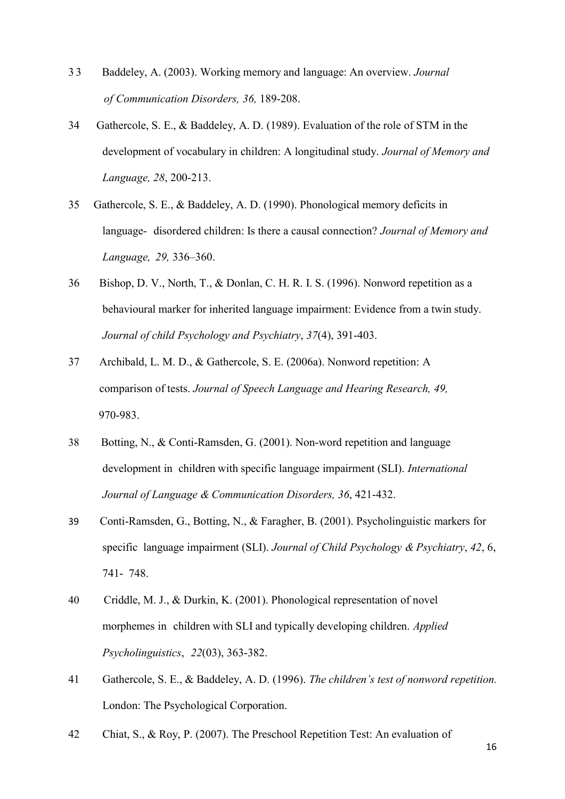- 3 3 Baddeley, A. (2003). Working memory and language: An [overview.](http://apps.isiknowledge.com/full_record.do?product=UA&search_mode=GeneralSearch&qid=1&SID=S1O1fH87FbaBN%40Eib%40E&page=1&doc=1&colname=WOS) *Journal of Communication Disorders, 36,* 189-208.
- 34 Gathercole, S. E., & Baddeley, A. D. (1989). Evaluation of the role of STM in the development of vocabulary in children: A longitudinal study. *Journal of Memory and Language, 28*, 200-213.
- 35 Gathercole, S. E., & Baddeley, A. D. (1990). Phonological memory deficits in language- disordered children: Is there a causal connection? *Journal of Memory and Language, 29,* 336–360.
- 36 Bishop, D. V., North, T., & Donlan, C. H. R. I. S. (1996). Nonword repetition as a behavioural marker for inherited language impairment: Evidence from a twin study. *Journal of child Psychology and Psychiatry*, *37*(4), 391-403.
- 37 Archibald, L. M. D., & Gathercole, S. E. (2006a). Nonword repetition: A comparison of tests. *Journal of Speech Language and Hearing Research, 49,* 970-983.
- 38 Botting, N., & Conti-Ramsden, G. (2001). Non-word repetition and language development in children with specific language impairment (SLI). *International Journal of Language & Communication Disorders, 36*, 421-432.
- 39 Conti-Ramsden, G., Botting, N., & Faragher, B. (2001). Psycholinguistic markers for specific language impairment (SLI). *Journal of Child Psychology & Psychiatry*, *42*, 6, 741- 748.
- 40 Criddle, M. J., & Durkin, K. (2001). Phonological representation of novel morphemes in children with SLI and typically developing children. *Applied Psycholinguistics*, *22*(03), 363-382.
- 41 Gathercole, S. E., & Baddeley, A. D. (1996). *The children's test of nonword repetition.* London: The Psychological Corporation.
- 42 Chiat, S., & Roy, P. (2007). The Preschool Repetition Test: An evaluation of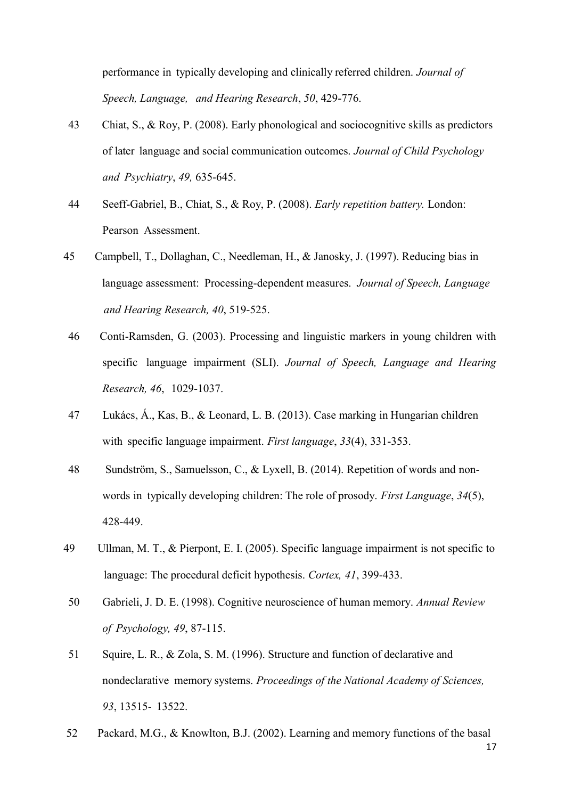performance in typically developing and clinically referred children. *Journal of Speech, Language, and Hearing Research*, *50*, 429-776.

- 43 Chiat, S., & Roy, P. (2008). Early phonological and sociocognitive skills as predictors of later language and social communication outcomes. *Journal of Child Psychology and Psychiatry*, *49,* 635-645.
- 44 Seeff-Gabriel, B., Chiat, S., & Roy, P. (2008). *Early repetition battery.* London: Pearson Assessment.
- 45 Campbell, T., Dollaghan, C., Needleman, H., & Janosky, J. (1997). Reducing bias in language assessment: Processing-dependent measures. *Journal of Speech, Language and Hearing Research, 40*, 519-525.
- 46 Conti-Ramsden, G. (2003). Processing and linguistic markers in young children with specific language impairment (SLI). *Journal of Speech, Language and Hearing Research, 46*, 1029-1037.
- 47 Lukács, Á., Kas, B., & Leonard, L. B. (2013). Case marking in Hungarian children with specific language impairment. *First language*, *33*(4), 331-353.
- 48 Sundström, S., Samuelsson, C., & Lyxell, B. (2014). Repetition of words and nonwords in typically developing children: The role of prosody. *First Language*, *34*(5), 428-449.
- 49 Ullman, M. T., & Pierpont, E. I. (2005). Specific language impairment is not specific to language: The procedural deficit hypothesis. *Cortex, 41*, 399-433.
- 50 Gabrieli, J. D. E. (1998). Cognitive neuroscience of human memory. *Annual Review of Psychology, 49*, 87-115.
- 51 Squire, L. R., & Zola, S. M. (1996). Structure and function of declarative and nondeclarative memory systems. *Proceedings of the National Academy of Sciences, 93*, 13515- 13522.
- 52 Packard, M.G., & Knowlton, B.J. (2002). Learning and memory functions of the basal

17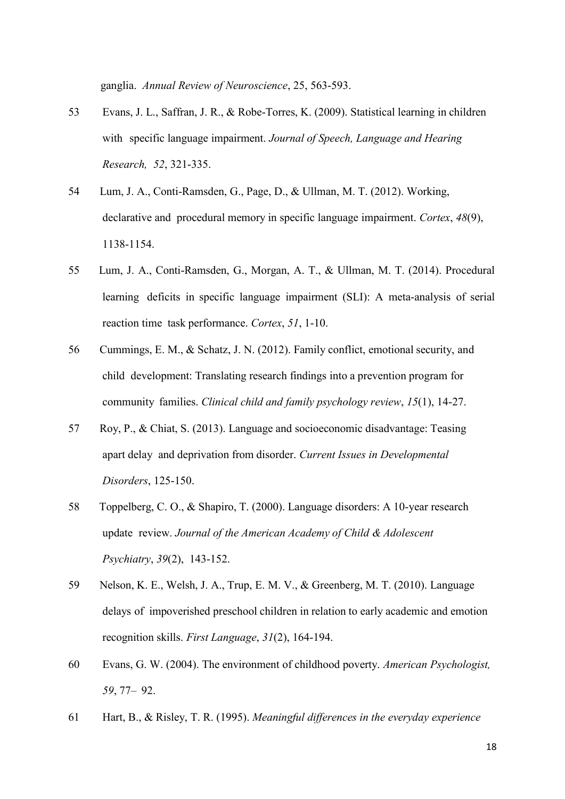ganglia. *Annual Review of Neuroscience*, 25, 563-593.

- 53 Evans, J. L., Saffran, J. R., & Robe-Torres, K. (2009). Statistical learning in children with specific language impairment. *Journal of Speech, Language and Hearing Research, 52*, 321-335.
- 54 Lum, J. A., Conti-Ramsden, G., Page, D., & Ullman, M. T. (2012). Working, declarative and procedural memory in specific language impairment. *Cortex*, *48*(9), 1138-1154.
- 55 Lum, J. A., Conti-Ramsden, G., Morgan, A. T., & Ullman, M. T. (2014). Procedural learning deficits in specific language impairment (SLI): A meta-analysis of serial reaction time task performance. *Cortex*, *51*, 1-10.
- 56 Cummings, E. M., & Schatz, J. N. (2012). Family conflict, emotional security, and child development: Translating research findings into a prevention program for community families. *Clinical child and family psychology review*, *15*(1), 14-27.
- 57 Roy, P., & Chiat, S. (2013). Language and socioeconomic disadvantage: Teasing apart delay and deprivation from disorder. *Current Issues in Developmental Disorders*, 125-150.
- 58 Toppelberg, C. O., & Shapiro, T. (2000). Language disorders: A 10-year research update review. *Journal of the American Academy of Child & Adolescent Psychiatry*, *39*(2), 143-152.
- 59 Nelson, K. E., Welsh, J. A., Trup, E. M. V., & Greenberg, M. T. (2010). Language delays of impoverished preschool children in relation to early academic and emotion recognition skills. *First Language*, *31*(2), 164-194.
- 60 Evans, G. W. (2004). The environment of childhood poverty. *American Psychologist, 59*, 77– 92.
- 61 Hart, B., & Risley, T. R. (1995). *Meaningful differences in the everyday experience*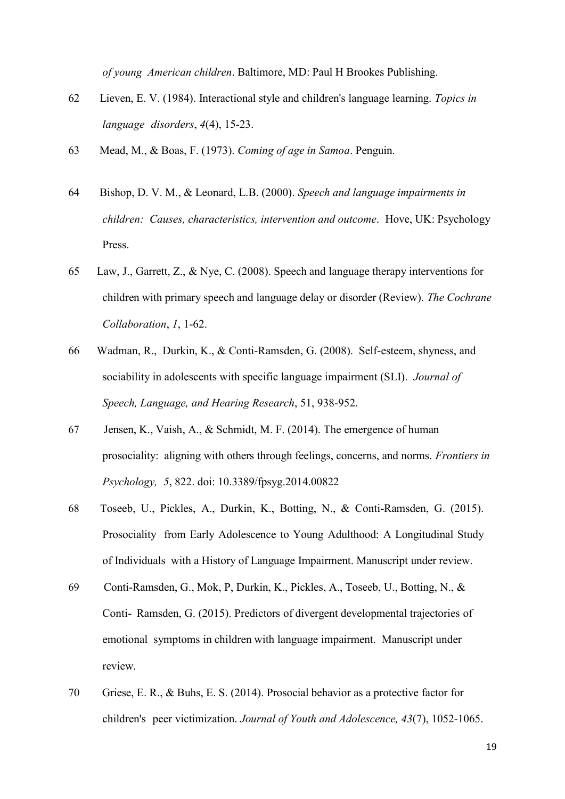*of young American children*. Baltimore, MD: Paul H Brookes Publishing.

- 62 Lieven, E. V. (1984). Interactional style and children's language learning. *Topics in language disorders*, *4*(4), 15-23.
- 63 Mead, M., & Boas, F. (1973). *Coming of age in Samoa*. Penguin.
- 64 Bishop, D. V. M., & Leonard, L.B. (2000). *Speech and language impairments in children: Causes, characteristics, intervention and outcome*. Hove, UK: Psychology Press.
- 65 Law, J., Garrett, Z., & Nye, C. (2008). Speech and language therapy interventions for children with primary speech and language delay or disorder (Review). *The Cochrane Collaboration*, *1*, 1-62.
- 66 Wadman, R., Durkin, K., & Conti-Ramsden, G. (2008). Self-esteem, shyness, and sociability in adolescents with specific language impairment (SLI). *Journal of Speech, Language, and Hearing Research*, 51, 938-952.
- 67 Jensen, K., Vaish, A., & Schmidt, M. F. (2014). The emergence of human prosociality: aligning with others through feelings, concerns, and norms. *Frontiers in Psychology, 5*, 822. doi: 10.3389/fpsyg.2014.00822
- 68 Toseeb, U., Pickles, A., Durkin, K., Botting, N., & Conti-Ramsden, G. (2015). Prosociality from Early Adolescence to Young Adulthood: A Longitudinal Study of Individuals with a History of Language Impairment. Manuscript under review.
- 69 Conti-Ramsden, G., Mok, P, Durkin, K., Pickles, A., Toseeb, U., Botting, N., & Conti- Ramsden, G. (2015). Predictors of divergent developmental trajectories of emotional symptoms in children with language impairment. Manuscript under review.
- 70 Griese, E. R., & Buhs, E. S. (2014). Prosocial behavior as a protective factor for children's peer victimization. *Journal of Youth and Adolescence, 43*(7), 1052-1065.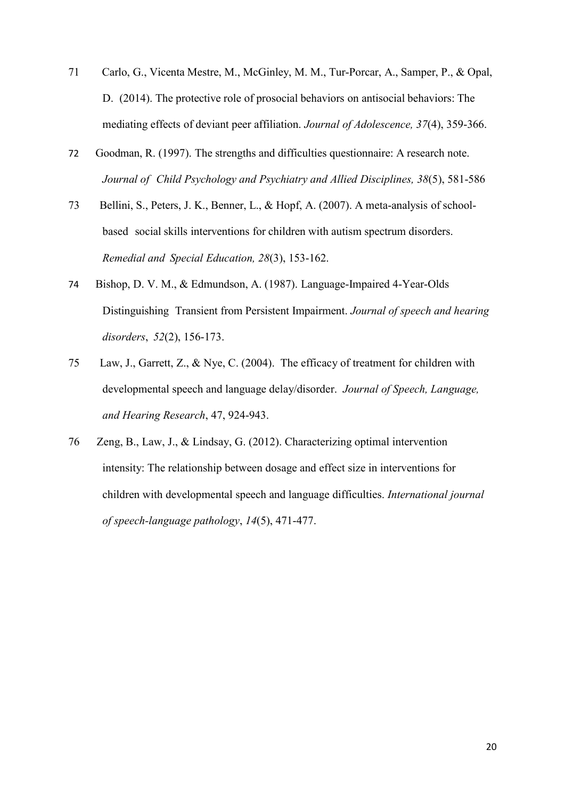- 71 Carlo, G., Vicenta Mestre, M., McGinley, M. M., Tur-Porcar, A., Samper, P., & Opal, D. (2014). The protective role of prosocial behaviors on antisocial behaviors: The mediating effects of deviant peer affiliation. *Journal of Adolescence, 37*(4), 359-366.
- 72 Goodman, R. (1997). The strengths and difficulties questionnaire: A research note. *Journal of Child Psychology and Psychiatry and Allied Disciplines, 38*(5), 581-586
- 73 Bellini, S., Peters, J. K., Benner, L., & Hopf, A. (2007). A meta-analysis of schoolbased social skills interventions for children with autism spectrum disorders. *Remedial and Special Education, 28*(3), 153-162.
- 74 Bishop, D. V. M., & Edmundson, A. (1987). Language-Impaired 4-Year-Olds Distinguishing Transient from Persistent Impairment. *Journal of speech and hearing disorders*, *52*(2), 156-173.
- 75 Law, J., Garrett, Z., & Nye, C. (2004). The efficacy of treatment for children with developmental speech and language delay/disorder. *Journal of Speech, Language, and Hearing Research*, 47, 924-943.
- 76 Zeng, B., Law, J., & Lindsay, G. (2012). Characterizing optimal intervention intensity: The relationship between dosage and effect size in interventions for children with developmental speech and language difficulties. *International journal of speech-language pathology*, *14*(5), 471-477.